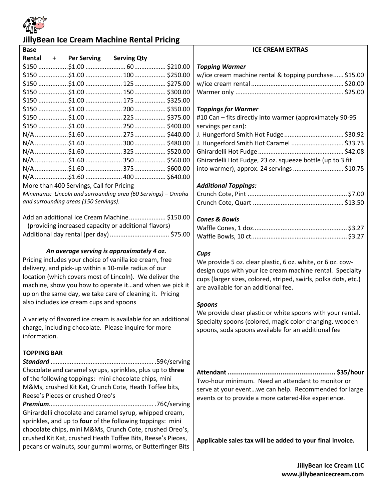

# **JillyBean Ice Cream Machine Rental Pricing**

| <b>Base</b>                                                                                                                                                                                                                                                                                                                                                                                                                                                                                                                                                                                                                                |                                          |                                                              |  | <b>ICE CREAM EXTRAS</b>                                                                                                                                                                                                                                                                                                                                                                                                                                                 |  |
|--------------------------------------------------------------------------------------------------------------------------------------------------------------------------------------------------------------------------------------------------------------------------------------------------------------------------------------------------------------------------------------------------------------------------------------------------------------------------------------------------------------------------------------------------------------------------------------------------------------------------------------------|------------------------------------------|--------------------------------------------------------------|--|-------------------------------------------------------------------------------------------------------------------------------------------------------------------------------------------------------------------------------------------------------------------------------------------------------------------------------------------------------------------------------------------------------------------------------------------------------------------------|--|
| Rental                                                                                                                                                                                                                                                                                                                                                                                                                                                                                                                                                                                                                                     | + Per Serving Serving Qty                |                                                              |  |                                                                                                                                                                                                                                                                                                                                                                                                                                                                         |  |
|                                                                                                                                                                                                                                                                                                                                                                                                                                                                                                                                                                                                                                            |                                          |                                                              |  | <b>Topping Warmer</b>                                                                                                                                                                                                                                                                                                                                                                                                                                                   |  |
|                                                                                                                                                                                                                                                                                                                                                                                                                                                                                                                                                                                                                                            |                                          |                                                              |  | w/ice cream machine rental & topping purchase \$15.00                                                                                                                                                                                                                                                                                                                                                                                                                   |  |
|                                                                                                                                                                                                                                                                                                                                                                                                                                                                                                                                                                                                                                            |                                          |                                                              |  |                                                                                                                                                                                                                                                                                                                                                                                                                                                                         |  |
|                                                                                                                                                                                                                                                                                                                                                                                                                                                                                                                                                                                                                                            |                                          |                                                              |  |                                                                                                                                                                                                                                                                                                                                                                                                                                                                         |  |
|                                                                                                                                                                                                                                                                                                                                                                                                                                                                                                                                                                                                                                            |                                          |                                                              |  |                                                                                                                                                                                                                                                                                                                                                                                                                                                                         |  |
|                                                                                                                                                                                                                                                                                                                                                                                                                                                                                                                                                                                                                                            |                                          |                                                              |  | <b>Toppings for Warmer</b>                                                                                                                                                                                                                                                                                                                                                                                                                                              |  |
|                                                                                                                                                                                                                                                                                                                                                                                                                                                                                                                                                                                                                                            |                                          |                                                              |  | #10 Can - fits directly into warmer (approximately 90-95                                                                                                                                                                                                                                                                                                                                                                                                                |  |
|                                                                                                                                                                                                                                                                                                                                                                                                                                                                                                                                                                                                                                            |                                          |                                                              |  | servings per can):                                                                                                                                                                                                                                                                                                                                                                                                                                                      |  |
|                                                                                                                                                                                                                                                                                                                                                                                                                                                                                                                                                                                                                                            |                                          |                                                              |  |                                                                                                                                                                                                                                                                                                                                                                                                                                                                         |  |
|                                                                                                                                                                                                                                                                                                                                                                                                                                                                                                                                                                                                                                            |                                          |                                                              |  | J. Hungerford Smith Hot Caramel  \$33.73                                                                                                                                                                                                                                                                                                                                                                                                                                |  |
|                                                                                                                                                                                                                                                                                                                                                                                                                                                                                                                                                                                                                                            |                                          |                                                              |  |                                                                                                                                                                                                                                                                                                                                                                                                                                                                         |  |
|                                                                                                                                                                                                                                                                                                                                                                                                                                                                                                                                                                                                                                            |                                          |                                                              |  | Ghirardelli Hot Fudge, 23 oz. squeeze bottle (up to 3 fit                                                                                                                                                                                                                                                                                                                                                                                                               |  |
|                                                                                                                                                                                                                                                                                                                                                                                                                                                                                                                                                                                                                                            |                                          |                                                              |  | into warmer), approx. 24 servings \$10.75                                                                                                                                                                                                                                                                                                                                                                                                                               |  |
|                                                                                                                                                                                                                                                                                                                                                                                                                                                                                                                                                                                                                                            |                                          |                                                              |  |                                                                                                                                                                                                                                                                                                                                                                                                                                                                         |  |
|                                                                                                                                                                                                                                                                                                                                                                                                                                                                                                                                                                                                                                            | More than 400 Servings, Call for Pricing |                                                              |  | <b>Additional Toppings:</b>                                                                                                                                                                                                                                                                                                                                                                                                                                             |  |
|                                                                                                                                                                                                                                                                                                                                                                                                                                                                                                                                                                                                                                            |                                          | Minimums: Lincoln and surrounding area (60 Servings) - Omaha |  |                                                                                                                                                                                                                                                                                                                                                                                                                                                                         |  |
|                                                                                                                                                                                                                                                                                                                                                                                                                                                                                                                                                                                                                                            | and surrounding areas (150 Servings).    |                                                              |  |                                                                                                                                                                                                                                                                                                                                                                                                                                                                         |  |
| Add an additional Ice Cream Machine \$150.00<br>(providing increased capacity or additional flavors)<br>An average serving is approximately 4 oz.<br>Pricing includes your choice of vanilla ice cream, free<br>delivery, and pick-up within a 10-mile radius of our<br>location (which covers most of Lincoln). We deliver the<br>machine, show you how to operate itand when we pick it<br>up on the same day, we take care of cleaning it. Pricing<br>also includes ice cream cups and spoons<br>A variety of flavored ice cream is available for an additional<br>charge, including chocolate. Please inquire for more<br>information. |                                          |                                                              |  | <b>Cones &amp; Bowls</b><br>Cups<br>We provide 5 oz. clear plastic, 6 oz. white, or 6 oz. cow-<br>design cups with your ice cream machine rental. Specialty<br>cups (larger sizes, colored, striped, swirls, polka dots, etc.)<br>are available for an additional fee.<br><b>Spoons</b><br>We provide clear plastic or white spoons with your rental.<br>Specialty spoons (colored, magic color changing, wooden<br>spoons, soda spoons available for an additional fee |  |
| <b>TOPPING BAR</b><br>Chocolate and caramel syrups, sprinkles, plus up to three<br>of the following toppings: mini chocolate chips, mini<br>M&Ms, crushed Kit Kat, Crunch Cote, Heath Toffee bits,<br>Reese's Pieces or crushed Oreo's<br>Ghirardelli chocolate and caramel syrup, whipped cream,<br>sprinkles, and up to four of the following toppings: mini<br>chocolate chips, mini M&Ms, Crunch Cote, crushed Oreo's,<br>crushed Kit Kat, crushed Heath Toffee Bits, Reese's Pieces,<br>pecans or walnuts, sour gummi worms, or Butterfinger Bits                                                                                     |                                          |                                                              |  | Two-hour minimum. Need an attendant to monitor or<br>serve at your eventwe can help. Recommended for large<br>events or to provide a more catered-like experience.<br>Applicable sales tax will be added to your final invoice.                                                                                                                                                                                                                                         |  |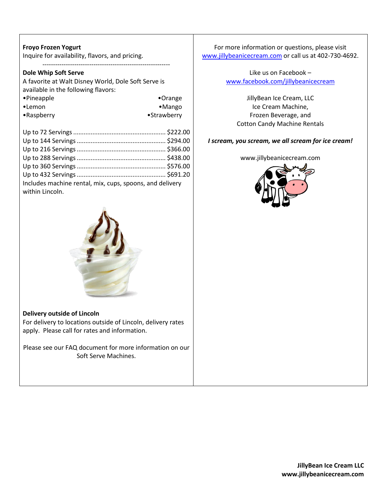#### **Froyo Frozen Yogurt**

Inquire for availability, flavors, and pricing.

------------------------------------------------------------

#### **Dole Whip Soft Serve**

| A favorite at Walt Disney World, Dole Soft Serve is |                  |
|-----------------------------------------------------|------------------|
| available in the following flavors:                 |                  |
| •Pineapple                                          | $\bullet$ Orange |
| •Lemon                                              | $•$ Mango        |
| $\bullet$ Raspberry                                 | •Strawberry      |

| Includes machine rental, mix, cups, spoons, and delivery<br>within Lincoln. |  |
|-----------------------------------------------------------------------------|--|



#### **Delivery outside of Lincoln**

For delivery to locations outside of Lincoln, delivery rates apply. Please call for rates and information.

Please see our FAQ document for more information on our Soft Serve Machines.

For more information or questions, please visit [www.jillybeanicecream.com](http://www.jillybeanicecream.com/) or call us at 402-730-4692.

#### Like us on Facebook – [www.facebook.com/jillybeanicecream](http://www.facebook.com/jillybeanicecream)

JillyBean Ice Cream, LLC Ice Cream Machine, Frozen Beverage, and Cotton Candy Machine Rentals

#### *I scream, you scream, we all scream for ice cream!*

www.jillybeanicecream.com

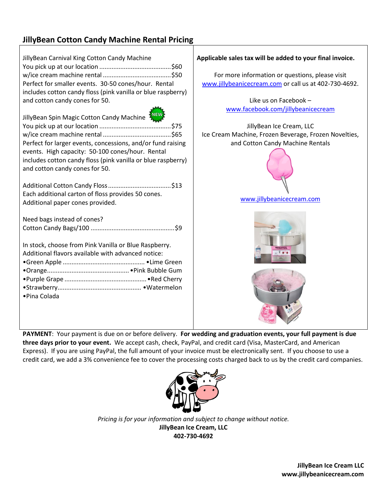## **JillyBean Cotton Candy Machine Rental Pricing**

| JillyBean Carnival King Cotton Candy Machine                                                                                                       | Applicable sales tax will be added to your final invoice.                                                |  |
|----------------------------------------------------------------------------------------------------------------------------------------------------|----------------------------------------------------------------------------------------------------------|--|
| Perfect for smaller events. 30-50 cones/hour. Rental                                                                                               | For more information or questions, please visit<br>www.jillybeanicecream.com or call us at 402-730-4692. |  |
| includes cotton candy floss (pink vanilla or blue raspberry)<br>and cotton candy cones for 50.                                                     | Like us on Facebook -                                                                                    |  |
|                                                                                                                                                    | www.facebook.com/jillybeanicecream                                                                       |  |
| JillyBean Spin Magic Cotton Candy Machine <sup>5</sup>                                                                                             |                                                                                                          |  |
|                                                                                                                                                    | JillyBean Ice Cream, LLC                                                                                 |  |
|                                                                                                                                                    | Ice Cream Machine, Frozen Beverage, Frozen Novelties,                                                    |  |
| Perfect for larger events, concessions, and/or fund raising                                                                                        | and Cotton Candy Machine Rentals                                                                         |  |
| events. High capacity: 50-100 cones/hour. Rental<br>includes cotton candy floss (pink vanilla or blue raspberry)<br>and cotton candy cones for 50. |                                                                                                          |  |
|                                                                                                                                                    |                                                                                                          |  |
| Each additional carton of floss provides 50 cones.                                                                                                 | www.jillybeanicecream.com                                                                                |  |
| Additional paper cones provided.                                                                                                                   |                                                                                                          |  |
| Need bags instead of cones?<br>In stock, choose from Pink Vanilla or Blue Raspberry.<br>Additional flavors available with advanced notice:         |                                                                                                          |  |
| • Pina Colada                                                                                                                                      |                                                                                                          |  |

**PAYMENT**: Your payment is due on or before delivery. **For wedding and graduation events, your full payment is due three days prior to your event.** We accept cash, check, PayPal, and credit card (Visa, MasterCard, and American Express). If you are using PayPal, the full amount of your invoice must be electronically sent. If you choose to use a credit card, we add a 3% convenience fee to cover the processing costs charged back to us by the credit card companies.



*Pricing is for your information and subject to change without notice.* **JillyBean Ice Cream, LLC 402-730-4692**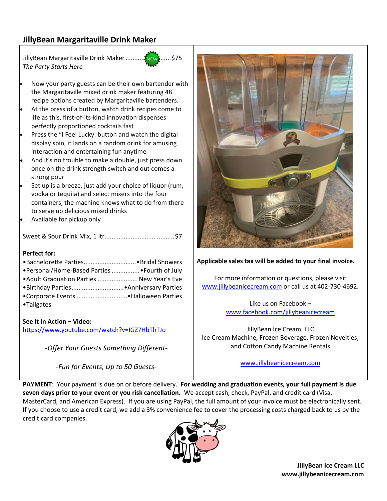## **JillyBean Margaritaville Drink Maker**

JillyBean Margaritaville Drink Maker..........................\$75 *The Party Starts Here*

- Now your party guests can be their own bartender with the Margaritaville mixed drink maker featuring 48 recipe options created by Margaritaville bartenders.
- At the press of a button, watch drink recipes come to life as this, first-of-its-kind innovation dispenses perfectly proportioned cocktails fast
- Press the "I Feel Lucky: button and watch the digital display spin, it lands on a random drink for amusing interaction and entertaining fun anytime
- And it's no trouble to make a double, just press down once on the drink strength switch and out comes a strong pour
- Set up is a breeze, just add your choice of liquor (rum, vodka or tequila) and select mixers into the four containers, the machine knows what to do from there to serve up delicious mixed drinks
- Available for pickup only

Sweet & Sour Drink Mix, 1 ltr........................................\$7

#### **Perfect for:**

| •Personal/Home-Based Parties  • Fourth of July |  |
|------------------------------------------------|--|
| • Adult Graduation Parties  New Year's Eve     |  |
|                                                |  |
|                                                |  |
| •Tailgates                                     |  |

#### **See It In Action – Video:**

<https://www.youtube.com/watch?v=IGZ7HbThTJo>

*-Offer Your Guests Something Different-*

*-Fun for Events, Up to 50 Guests-*



#### **Applicable sales tax will be added to your final invoice.**

For more information or questions, please visit [www.jillybeanicecream.com](http://www.jillybeanicecream.com/) or call us at 402-730-4692.

> Like us on Facebook – [www.facebook.com/jillybeanicecream](http://www.facebook.com/jillybeanicecream)

JillyBean Ice Cream, LLC Ice Cream Machine, Frozen Beverage, Frozen Novelties, and Cotton Candy Machine Rentals

[www.jillybeanicecream.com](http://www.jillybeanicecream.com/)

**PAYMENT**: Your payment is due on or before delivery. **For wedding and graduation events, your full payment is due seven days prior to your event or you risk cancellation.** We accept cash, check, PayPal, and credit card (Visa, MasterCard, and American Express). If you are using PayPal, the full amount of your invoice must be electronically sent. If you choose to use a credit card, we add a 3% convenience fee to cover the processing costs charged back to us by the credit card companies.



**JillyBean Ice Cream LLC www.jillybeanicecream.com**